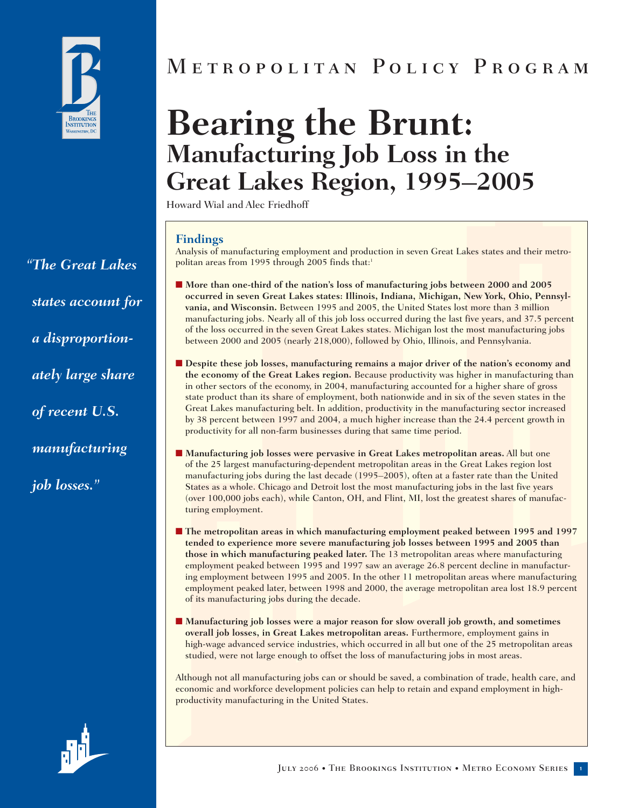

*"The Great Lakes states account for a disproportionately large share of recent U.S. manufacturing job losses."*

# Metropolitan Policy Program

# **Bearing the Brunt: Manufacturing Job Loss in the Great Lakes Region, 1995–2005**

Howard Wial and Alec Friedhoff

#### **Findings**

Analysis of manufacturing employment and production in seven Great Lakes states and their metropolitan areas from 1995 through 2005 finds that:1

- More than one-third of the nation's loss of manufacturing jobs between 2000 and 2005 **occurred in seven Great Lakes states: Illinois, Indiana, Michigan, New York, Ohio, Pennsylvania, and Wisconsin.** Between 1995 and 2005, the United States lost more than 3 million manufacturing jobs. Nearly all of this job loss occurred during the last five years, and 37.5 percent of the loss occurred in the seven Great Lakes states. Michigan lost the most manufacturing jobs between 2000 and 2005 (nearly 218,000), followed by Ohio, Illinois, and Pennsylvania.
- **Despite these job losses, manufacturing remains a major driver of the nation's economy and the economy of the Great Lakes region.** Because productivity was higher in manufacturing than in other sectors of the economy, in 2004, manufacturing accounted for a higher share of gross state product than its share of employment, both nationwide and in six of the seven states in the Great Lakes manufacturing belt. In addition, productivity in the manufacturing sector increased by 38 percent between 1997 and 2004, a much higher increase than the 24.4 percent growth in productivity for all non-farm businesses during that same time period.
- Manufacturing job losses were pervasive in Great Lakes metropolitan areas. All but one of the 25 largest manufacturing-dependent metropolitan areas in the Great Lakes region lost manufacturing jobs during the last decade (1995–2005), often at a faster rate than the United States as a whole. Chicago and Detroit lost the most manufacturing jobs in the last five years (over 100,000 jobs each), while Canton, OH, and Flint, MI, lost the greatest shares of manufacturing employment.
- **The metropolitan areas in which manufacturing employment peaked between 1995 and 1997 tended to experience more severe manufacturing job losses between 1995 and 2005 than those in which manufacturing peaked later.** The 13 metropolitan areas where manufacturing employment peaked between 1995 and 1997 saw an average 26.8 percent decline in manufacturing employment between 1995 and 2005. In the other 11 metropolitan areas where manufacturing employment peaked later, between 1998 and 2000, the average metropolitan area lost 18.9 percent of its manufacturing jobs during the decade.
- Manufacturing job losses were a major reason for slow overall job growth, and sometimes **overall job losses, in Great Lakes metropolitan areas.** Furthermore, employment gains in high-wage advanced service industries, which occurred in all but one of the 25 metropolitan areas studied, were not large enough to offset the loss of manufacturing jobs in most areas.

Although not all manufacturing jobs can or should be saved, a combination of trade, health care, and economic and workforce development policies can help to retain and expand employment in highproductivity manufacturing in the United States.

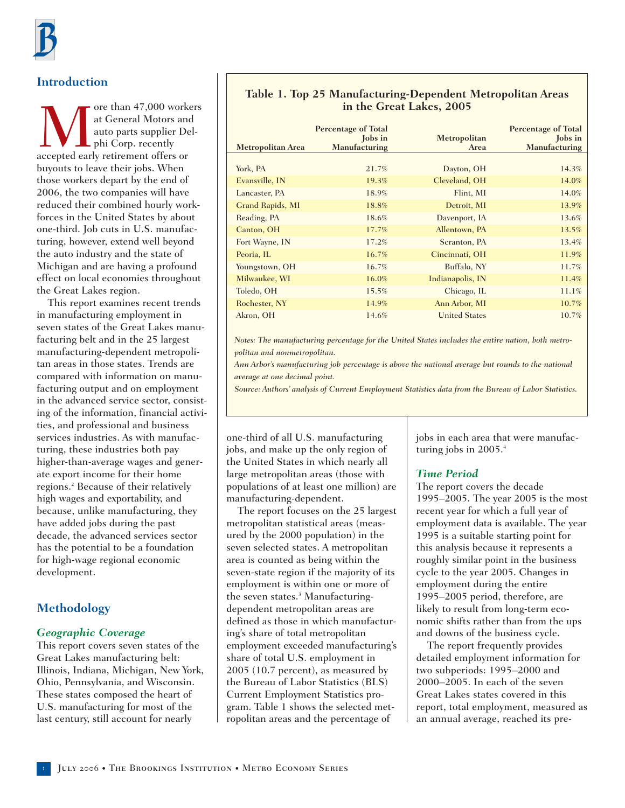## **Introduction**

We are than 47,000 workers<br>at General Motors and<br>auto parts supplier Del-<br>accepted early retirement offers or at General Motors and auto parts supplier Delhi Corp. recently buyouts to leave their jobs. When those workers depart by the end of 2006, the two companies will have reduced their combined hourly workforces in the United States by about one-third. Job cuts in U.S. manufacturing, however, extend well beyond the auto industry and the state of Michigan and are having a profound effect on local economies throughout the Great Lakes region.

This report examines recent trends in manufacturing employment in seven states of the Great Lakes manufacturing belt and in the 25 largest manufacturing-dependent metropolitan areas in those states. Trends are compared with information on manufacturing output and on employment in the advanced service sector, consisting of the information, financial activities, and professional and business services industries. As with manufacturing, these industries both pay higher-than-average wages and generate export income for their home regions.2 Because of their relatively high wages and exportability, and because, unlike manufacturing, they have added jobs during the past decade, the advanced services sector has the potential to be a foundation for high-wage regional economic development.

# **Methodology**

#### *Geographic Coverage*

This report covers seven states of the Great Lakes manufacturing belt: Illinois, Indiana, Michigan, New York, Ohio, Pennsylvania, and Wisconsin. These states composed the heart of U.S. manufacturing for most of the last century, still account for nearly

#### **Table 1. Top 25 Manufacturing-Dependent Metropolitan Areas in the Great Lakes, 2005**

| <b>Metropolitan Area</b> | <b>Percentage of Total</b><br><b>Jobs</b> in<br>Manufacturing | Metropolitan<br>Area | <b>Percentage of Total</b><br><b>Jobs</b> in<br><b>Manufacturing</b> |
|--------------------------|---------------------------------------------------------------|----------------------|----------------------------------------------------------------------|
|                          |                                                               |                      |                                                                      |
| York, PA                 | 21.7%                                                         | Dayton, OH           | 14.3%                                                                |
| Evansville, IN           | 19.3%                                                         | Cleveland, OH        | 14.0%                                                                |
| Lancaster, PA            | 18.9%                                                         | Flint, MI            | 14.0%                                                                |
| Grand Rapids, MI         | 18.8%                                                         | Detroit, MI          | 13.9%                                                                |
| Reading, PA              | 18.6%                                                         | Davenport, IA        | 13.6%                                                                |
| Canton, OH               | 17.7%                                                         | Allentown, PA        | 13.5%                                                                |
| Fort Wayne, IN           | 17.2%                                                         | Scranton, PA         | 13.4%                                                                |
| Peoria, IL               | $16.7\%$                                                      | Cincinnati, OH       | 11.9%                                                                |
| Youngstown, OH           | 16.7%                                                         | Buffalo, NY          | 11.7%                                                                |
| Milwaukee, WI            | 16.0%                                                         | Indianapolis, IN     | 11.4%                                                                |
| Toledo, OH               | 15.5%                                                         | Chicago, IL          | 11.1%                                                                |
| Rochester, NY            | 14.9%                                                         | Ann Arbor, MI        | 10.7%                                                                |
| Akron, OH                | 14.6%                                                         | <b>United States</b> | 10.7%                                                                |

*Notes: The manufacturing percentage for the United States includes the entire nation, both metropolitan and nonmetropolitan.* 

*Ann Arbor's manufacturing job percentage is above the national average but rounds to the national average at one decimal point.*

*Source: Authors' analysis of Current Employment Statistics data from the Bureau of Labor Statistics.*

one-third of all U.S. manufacturing jobs, and make up the only region of the United States in which nearly all large metropolitan areas (those with populations of at least one million) are manufacturing-dependent.

The report focuses on the 25 largest metropolitan statistical areas (measured by the 2000 population) in the seven selected states. A metropolitan area is counted as being within the seven-state region if the majority of its employment is within one or more of the seven states.<sup>3</sup> Manufacturingdependent metropolitan areas are defined as those in which manufacturing's share of total metropolitan employment exceeded manufacturing's share of total U.S. employment in 2005 (10.7 percent), as measured by the Bureau of Labor Statistics (BLS) Current Employment Statistics program. Table 1 shows the selected metropolitan areas and the percentage of

jobs in each area that were manufacturing jobs in 2005.<sup>4</sup>

#### *Time Period*

The report covers the decade 1995–2005. The year 2005 is the most recent year for which a full year of employment data is available. The year 1995 is a suitable starting point for this analysis because it represents a roughly similar point in the business cycle to the year 2005. Changes in employment during the entire 1995–2005 period, therefore, are likely to result from long-term economic shifts rather than from the ups and downs of the business cycle.

The report frequently provides detailed employment information for two subperiods: 1995–2000 and 2000–2005. In each of the seven Great Lakes states covered in this report, total employment, measured as an annual average, reached its pre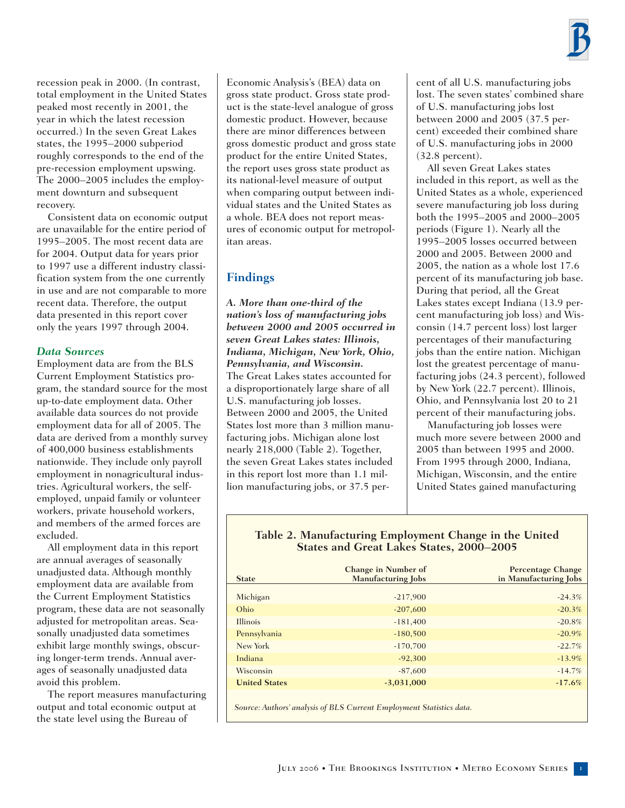recession peak in 2000. (In contrast, total employment in the United States peaked most recently in 2001, the year in which the latest recession occurred.) In the seven Great Lakes states, the 1995–2000 subperiod roughly corresponds to the end of the pre-recession employment upswing. The 2000–2005 includes the employment downturn and subsequent recovery.

Consistent data on economic output are unavailable for the entire period of 1995–2005. The most recent data are for 2004. Output data for years prior to 1997 use a different industry classification system from the one currently in use and are not comparable to more recent data. Therefore, the output data presented in this report cover only the years 1997 through 2004.

#### *Data Sources*

Employment data are from the BLS Current Employment Statistics program, the standard source for the most up-to-date employment data. Other available data sources do not provide employment data for all of 2005. The data are derived from a monthly survey of 400,000 business establishments nationwide. They include only payroll employment in nonagricultural industries. Agricultural workers, the selfemployed, unpaid family or volunteer workers, private household workers, and members of the armed forces are excluded.

All employment data in this report are annual averages of seasonally unadjusted data. Although monthly employment data are available from the Current Employment Statistics program, these data are not seasonally adjusted for metropolitan areas. Seasonally unadjusted data sometimes exhibit large monthly swings, obscuring longer-term trends. Annual averages of seasonally unadjusted data avoid this problem.

The report measures manufacturing output and total economic output at the state level using the Bureau of

Economic Analysis's (BEA) data on gross state product. Gross state product is the state-level analogue of gross domestic product. However, because there are minor differences between gross domestic product and gross state product for the entire United States, the report uses gross state product as its national-level measure of output when comparing output between individual states and the United States as a whole. BEA does not report measures of economic output for metropolitan areas.

# **Findings**

*A. More than one-third of the nation's loss of manufacturing jobs between 2000 and 2005 occurred in seven Great Lakes states: Illinois, Indiana, Michigan, New York, Ohio, Pennsylvania, and Wisconsin.* The Great Lakes states accounted for a disproportionately large share of all U.S. manufacturing job losses. Between 2000 and 2005, the United States lost more than 3 million manufacturing jobs. Michigan alone lost nearly 218,000 (Table 2). Together, the seven Great Lakes states included in this report lost more than 1.1 million manufacturing jobs, or 37.5 percent of all U.S. manufacturing jobs lost. The seven states' combined share of U.S. manufacturing jobs lost between 2000 and 2005 (37.5 percent) exceeded their combined share of U.S. manufacturing jobs in 2000 (32.8 percent).

All seven Great Lakes states included in this report, as well as the United States as a whole, experienced severe manufacturing job loss during both the 1995–2005 and 2000–2005 periods (Figure 1). Nearly all the 1995–2005 losses occurred between 2000 and 2005. Between 2000 and 2005, the nation as a whole lost 17.6 percent of its manufacturing job base. During that period, all the Great Lakes states except Indiana (13.9 percent manufacturing job loss) and Wisconsin (14.7 percent loss) lost larger percentages of their manufacturing jobs than the entire nation. Michigan lost the greatest percentage of manufacturing jobs (24.3 percent), followed by New York (22.7 percent). Illinois, Ohio, and Pennsylvania lost 20 to 21 percent of their manufacturing jobs.

Manufacturing job losses were much more severe between 2000 and 2005 than between 1995 and 2000. From 1995 through 2000, Indiana, Michigan, Wisconsin, and the entire United States gained manufacturing

#### **Table 2. Manufacturing Employment Change in the United States and Great Lakes States, 2000–2005**

| <b>State</b>                                                         | <b>Change in Number of</b><br><b>Manufacturing Jobs</b> | <b>Percentage Change</b><br>in Manufacturing Jobs |  |  |
|----------------------------------------------------------------------|---------------------------------------------------------|---------------------------------------------------|--|--|
| Michigan                                                             | $-217,900$                                              | $-24.3%$                                          |  |  |
| Ohio                                                                 | $-207,600$                                              | $-20.3%$                                          |  |  |
| Illinois                                                             | $-181,400$                                              | $-20.8%$                                          |  |  |
| Pennsylvania                                                         | $-180,500$                                              | $-20.9%$                                          |  |  |
| New York                                                             | $-170,700$                                              | $-22.7%$                                          |  |  |
| Indiana                                                              | $-92,300$                                               | $-13.9%$                                          |  |  |
| Wisconsin                                                            | $-87,600$                                               | $-14.7%$                                          |  |  |
| <b>United States</b>                                                 | $-3,031,000$                                            | $-17.6%$                                          |  |  |
| Source: Authors' analysis of BLS Current Employment Statistics data. |                                                         |                                                   |  |  |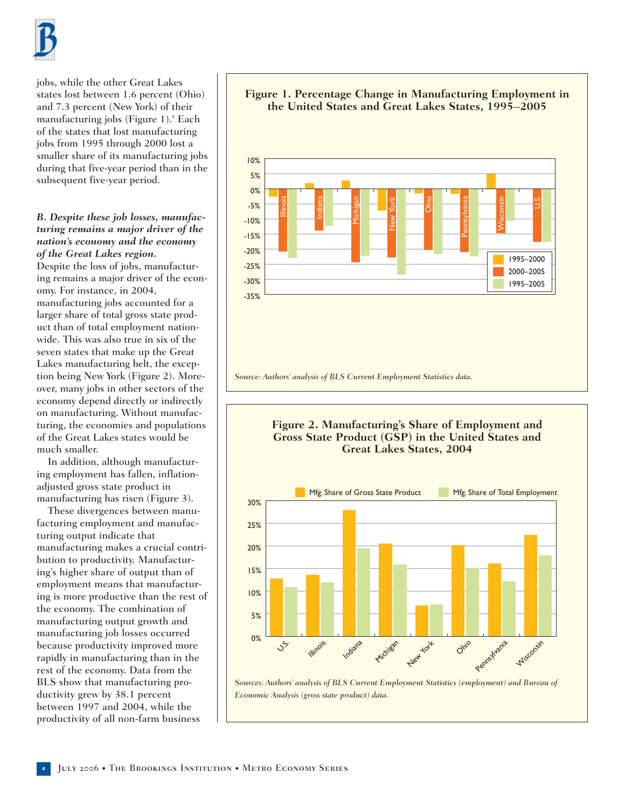

jobs, while the other Great Lakes states lost between 1.6 percent (Ohio) and 7.3 percent (New York) of their manufacturing jobs (Figure 1).<sup>5</sup> Each of the states that lost manufacturing jobs from 1995 through 2000 lost a smaller share of its manufacturing jobs during that five-year period than in the subsequent five-year period.

#### *B. Despite these job losses, manufacturing remains a major driver of the nation's economy and the economy of the Great Lakes region.* Despite the loss of jobs, manufacturing remains a major driver of the economy. For instance, in 2004,

manufacturing jobs accounted for a larger share of total gross state product than of total employment nationwide. This was also true in six of the seven states that make up the Great Lakes manufacturing belt, the exception being New York (Figure 2). Moreover, many jobs in other sectors of the economy depend directly or indirectly on manufacturing. Without manufacturing, the economies and populations of the Great Lakes states would be much smaller.

In addition, although manufacturing employment has fallen, inflationadjusted gross state product in manufacturing has risen (Figure 3).

These divergences between manufacturing employment and manufacturing output indicate that manufacturing makes a crucial contribution to productivity. Manufacturing's higher share of output than of employment means that manufacturing is more productive than the rest of the economy. The combination of manufacturing output growth and manufacturing job losses occurred because productivity improved more rapidly in manufacturing than in the rest of the economy. Data from the BLS show that manufacturing productivity grew by 38.1 percent between 1997 and 2004, while the productivity of all non-farm business





*Sources: Authors' analysis of BLS Current Employment Statistics (employment) and Bureau of Economic Analysis (gross state product) data.*

#### **<sup>4</sup>** July 2006 • The Brookings Institution • Metro Economy Series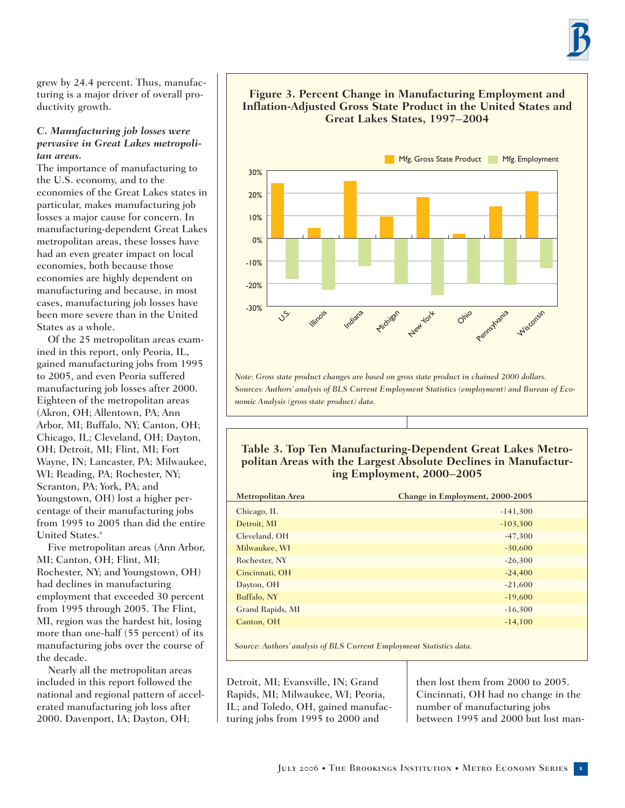grew by 24.4 percent. Thus, manufacturing is a major driver of overall productivity growth.

#### *C. Manufacturing job losses were pervasive in Great Lakes metropolitan areas.*

The importance of manufacturing to the U.S. economy, and to the economies of the Great Lakes states in particular, makes manufacturing job losses a major cause for concern. In manufacturing-dependent Great Lakes metropolitan areas, these losses have had an even greater impact on local economies, both because those economies are highly dependent on manufacturing and because, in most cases, manufacturing job losses have been more severe than in the United States as a whole.

Of the 25 metropolitan areas examined in this report, only Peoria, IL, gained manufacturing jobs from 1995 to 2005, and even Peoria suffered manufacturing job losses after 2000. Eighteen of the metropolitan areas (Akron, OH; Allentown, PA; Ann Arbor, MI; Buffalo, NY; Canton, OH; Chicago, IL; Cleveland, OH; Dayton, OH; Detroit, MI; Flint, MI; Fort Wayne, IN; Lancaster, PA; Milwaukee, WI; Reading, PA; Rochester, NY; Scranton, PA; York, PA; and Youngstown, OH) lost a higher percentage of their manufacturing jobs from 1995 to 2005 than did the entire United States.<sup>6</sup>

Five metropolitan areas (Ann Arbor, MI; Canton, OH; Flint, MI; Rochester, NY; and Youngstown, OH) had declines in manufacturing employment that exceeded 30 percent from 1995 through 2005. The Flint, MI, region was the hardest hit, losing more than one-half (55 percent) of its manufacturing jobs over the course of the decade.

Nearly all the metropolitan areas included in this report followed the national and regional pattern of accelerated manufacturing job loss after 2000. Davenport, IA; Dayton, OH;



**Figure 3. Percent Change in Manufacturing Employment and Inflation-Adjusted Gross State Product in the United States and**

*Note: Gross state product changes are based on gross state product in chained 2000 dollars. Sources: Authors' analysis of BLS Current Employment Statistics (employment) and Bureau of Economic Analysis (gross state product) data.*

New York

#### **Table 3. Top Ten Manufacturing-Dependent Great Lakes Metropolitan Areas with the Largest Absolute Declines in Manufacturing Employment, 2000–2005**

| <b>Metropolitan Area</b> | Change in Employment, 2000-2005 |
|--------------------------|---------------------------------|
| Chicago, IL              | $-141,300$                      |
| Detroit, MI              | $-103,300$                      |
| Cleveland, OH            | $-47,300$                       |
| Milwaukee, WI            | $-30,600$                       |
| Rochester, NY            | $-26,300$                       |
| Cincinnati, OH           | $-24,400$                       |
| Dayton, OH               | $-21,600$                       |
| Buffalo, NY              | $-19,600$                       |
| Grand Rapids, MI         | $-16,300$                       |
| Canton, OH               | $-14,100$                       |
|                          |                                 |

*Source: Authors' analysis of BLS Current Employment Statistics data.*

Detroit, MI; Evansville, IN; Grand Rapids, MI; Milwaukee, WI; Peoria, IL; and Toledo, OH, gained manufacturing jobs from 1995 to 2000 and

then lost them from 2000 to 2005. Cincinnati, OH had no change in the number of manufacturing jobs between 1995 and 2000 but lost man-

Pennsylvan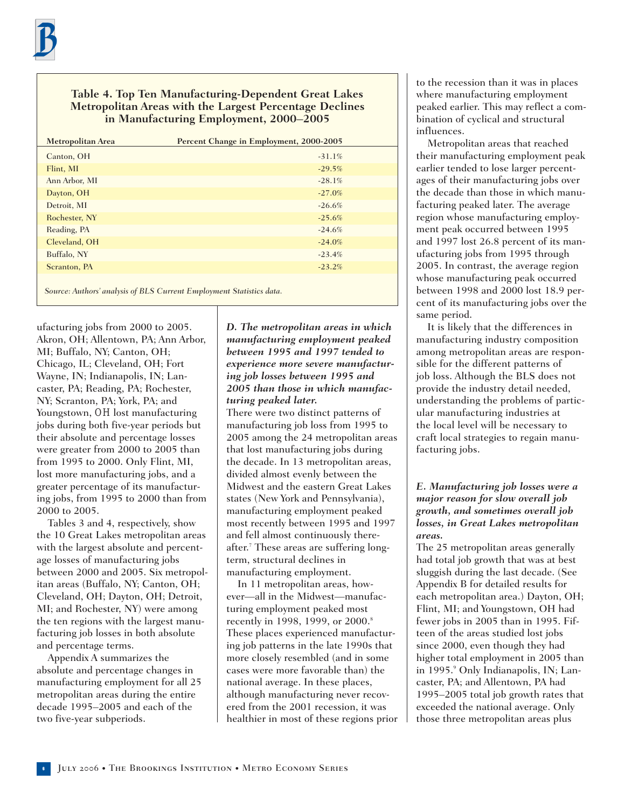#### **Table 4. Top Ten Manufacturing-Dependent Great Lakes Metropolitan Areas with the Largest Percentage Declines in Manufacturing Employment, 2000–2005**

| <b>Metropolitan Area</b> | Percent Change in Employment, 2000-2005 |
|--------------------------|-----------------------------------------|
| Canton, OH               | $-31.1\%$                               |
| Flint, MI                | $-29.5%$                                |
| Ann Arbor, MI            | $-28.1\%$                               |
| Dayton, OH               | $-27.0%$                                |
| Detroit, MI              | $-26.6%$                                |
| Rochester, NY            | $-25.6%$                                |
| Reading, PA              | $-24.6%$                                |
| Cleveland, OH            | $-24.0%$                                |
| Buffalo, NY              | $-23.4%$                                |
| Scranton, PA             | $-23.2%$                                |
|                          |                                         |

*Source: Authors' analysis of BLS Current Employment Statistics data.*

ufacturing jobs from 2000 to 2005. Akron, OH; Allentown, PA; Ann Arbor, MI; Buffalo, NY; Canton, OH; Chicago, IL; Cleveland, OH; Fort Wayne, IN; Indianapolis, IN; Lancaster, PA; Reading, PA; Rochester, NY; Scranton, PA; York, PA; and Youngstown, OH lost manufacturing jobs during both five-year periods but their absolute and percentage losses were greater from 2000 to 2005 than from 1995 to 2000. Only Flint, MI, lost more manufacturing jobs, and a greater percentage of its manufacturing jobs, from 1995 to 2000 than from 2000 to 2005.

Tables 3 and 4, respectively, show the 10 Great Lakes metropolitan areas with the largest absolute and percentage losses of manufacturing jobs between 2000 and 2005. Six metropolitan areas (Buffalo, NY; Canton, OH; Cleveland, OH; Dayton, OH; Detroit, MI; and Rochester, NY) were among the ten regions with the largest manufacturing job losses in both absolute and percentage terms.

Appendix A summarizes the absolute and percentage changes in manufacturing employment for all 25 metropolitan areas during the entire decade 1995–2005 and each of the two five-year subperiods.

#### *D. The metropolitan areas in which manufacturing employment peaked between 1995 and 1997 tended to experience more severe manufacturing job losses between 1995 and 2005 than those in which manufacturing peaked later.*

There were two distinct patterns of manufacturing job loss from 1995 to 2005 among the 24 metropolitan areas that lost manufacturing jobs during the decade. In 13 metropolitan areas, divided almost evenly between the Midwest and the eastern Great Lakes states (New York and Pennsylvania), manufacturing employment peaked most recently between 1995 and 1997 and fell almost continuously thereafter.7 These areas are suffering longterm, structural declines in manufacturing employment.

In 11 metropolitan areas, however—all in the Midwest—manufacturing employment peaked most recently in 1998, 1999, or 2000.<sup>8</sup> These places experienced manufacturing job patterns in the late 1990s that more closely resembled (and in some cases were more favorable than) the national average. In these places, although manufacturing never recovered from the 2001 recession, it was healthier in most of these regions prior to the recession than it was in places where manufacturing employment peaked earlier. This may reflect a combination of cyclical and structural influences.

Metropolitan areas that reached their manufacturing employment peak earlier tended to lose larger percentages of their manufacturing jobs over the decade than those in which manufacturing peaked later. The average region whose manufacturing employment peak occurred between 1995 and 1997 lost 26.8 percent of its manufacturing jobs from 1995 through 2005. In contrast, the average region whose manufacturing peak occurred between 1998 and 2000 lost 18.9 percent of its manufacturing jobs over the same period.

It is likely that the differences in manufacturing industry composition among metropolitan areas are responsible for the different patterns of job loss. Although the BLS does not provide the industry detail needed, understanding the problems of particular manufacturing industries at the local level will be necessary to craft local strategies to regain manufacturing jobs.

#### *E. Manufacturing job losses were a major reason for slow overall job growth, and sometimes overall job losses, in Great Lakes metropolitan areas.*

The 25 metropolitan areas generally had total job growth that was at best sluggish during the last decade. (See Appendix B for detailed results for each metropolitan area.) Dayton, OH; Flint, MI; and Youngstown, OH had fewer jobs in 2005 than in 1995. Fifteen of the areas studied lost jobs since 2000, even though they had higher total employment in 2005 than in 1995.<sup>9</sup> Only Indianapolis, IN; Lancaster, PA; and Allentown, PA had 1995–2005 total job growth rates that exceeded the national average. Only those three metropolitan areas plus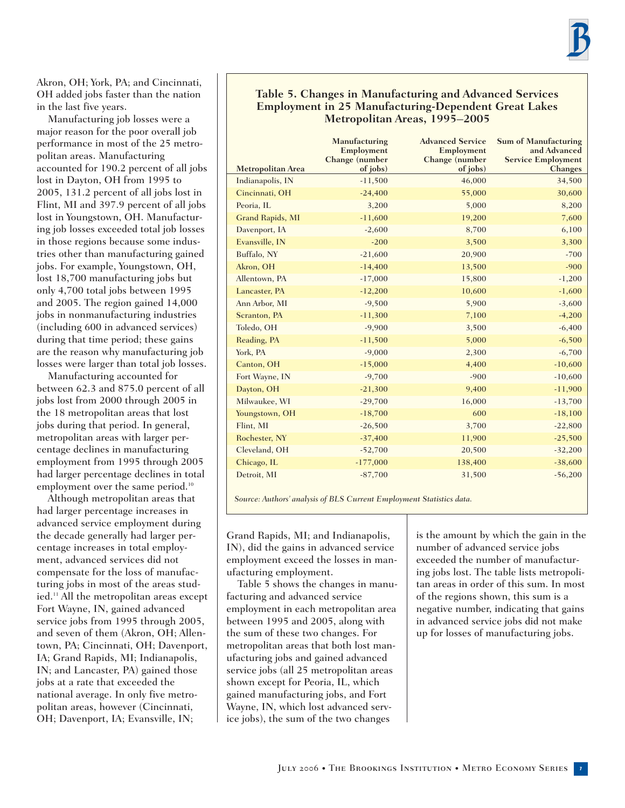Akron, OH; York, PA; and Cincinnati, OH added jobs faster than the nation in the last five years.

Manufacturing job losses were a major reason for the poor overall job performance in most of the 25 metropolitan areas. Manufacturing accounted for 190.2 percent of all jobs lost in Dayton, OH from 1995 to 2005, 131.2 percent of all jobs lost in Flint, MI and 397.9 percent of all jobs lost in Youngstown, OH. Manufacturing job losses exceeded total job losses in those regions because some industries other than manufacturing gained jobs. For example, Youngstown, OH, lost 18,700 manufacturing jobs but only 4,700 total jobs between 1995 and 2005. The region gained 14,000 jobs in nonmanufacturing industries (including 600 in advanced services) during that time period; these gains are the reason why manufacturing job losses were larger than total job losses.

Manufacturing accounted for between 62.3 and 875.0 percent of all jobs lost from 2000 through 2005 in the 18 metropolitan areas that lost jobs during that period. In general, metropolitan areas with larger percentage declines in manufacturing employment from 1995 through 2005 had larger percentage declines in total employment over the same period.<sup>10</sup>

Although metropolitan areas that had larger percentage increases in advanced service employment during the decade generally had larger percentage increases in total employment, advanced services did not compensate for the loss of manufacturing jobs in most of the areas studied.11 All the metropolitan areas except Fort Wayne, IN, gained advanced service jobs from 1995 through 2005, and seven of them (Akron, OH; Allentown, PA; Cincinnati, OH; Davenport, IA; Grand Rapids, MI; Indianapolis, IN; and Lancaster, PA) gained those jobs at a rate that exceeded the national average. In only five metropolitan areas, however (Cincinnati, OH; Davenport, IA; Evansville, IN;

#### **Table 5. Changes in Manufacturing and Advanced Services Employment in 25 Manufacturing-Dependent Great Lakes Metropolitan Areas, 1995–2005**

| <b>Metropolitan Area</b> | Manufacturing<br>Employment<br>Change (number<br>of jobs) | <b>Advanced Service</b><br>Employment<br>Change (number<br>of jobs) | <b>Sum of Manufacturing</b><br>and Advanced<br><b>Service Employment</b><br><b>Changes</b> |
|--------------------------|-----------------------------------------------------------|---------------------------------------------------------------------|--------------------------------------------------------------------------------------------|
| Indianapolis, IN         | $-11,500$                                                 | 46,000                                                              | 34,500                                                                                     |
| Cincinnati, OH           | $-24,400$                                                 | 55,000                                                              | 30,600                                                                                     |
| Peoria, IL               | 3,200                                                     | 5,000                                                               | 8,200                                                                                      |
| Grand Rapids, MI         | $-11,600$                                                 | 19,200                                                              | 7,600                                                                                      |
| Davenport, IA            | $-2,600$                                                  | 8,700                                                               | 6,100                                                                                      |
| Evansville, IN           | $-200$                                                    | 3,500                                                               | 3,300                                                                                      |
| Buffalo, NY              | $-21,600$                                                 | 20,900                                                              | $-700$                                                                                     |
| Akron, OH                | $-14,400$                                                 | 13,500                                                              | $-900$                                                                                     |
| Allentown, PA            | $-17,000$                                                 | 15,800                                                              | $-1,200$                                                                                   |
| Lancaster, PA            | $-12,200$                                                 | 10,600                                                              | $-1,600$                                                                                   |
| Ann Arbor, MI            | $-9,500$                                                  | 5,900                                                               | $-3,600$                                                                                   |
| Scranton, PA             | $-11,300$                                                 | 7,100                                                               | $-4,200$                                                                                   |
| Toledo, OH               | $-9,900$                                                  | 3,500                                                               | $-6,400$                                                                                   |
| Reading, PA              | $-11,500$                                                 | 5,000                                                               | $-6,500$                                                                                   |
| York, PA                 | $-9,000$                                                  | 2,300                                                               | $-6,700$                                                                                   |
| Canton, OH               | $-15,000$                                                 | 4,400                                                               | $-10,600$                                                                                  |
| Fort Wayne, IN           | $-9,700$                                                  | $-900$                                                              | $-10,600$                                                                                  |
| Dayton, OH               | $-21,300$                                                 | 9,400                                                               | $-11,900$                                                                                  |
| Milwaukee, WI            | $-29,700$                                                 | 16,000                                                              | $-13,700$                                                                                  |
| Youngstown, OH           | $-18,700$                                                 | 600                                                                 | $-18,100$                                                                                  |
| Flint, MI                | $-26,500$                                                 | 3,700                                                               | $-22,800$                                                                                  |
| Rochester, NY            | $-37,400$                                                 | 11,900                                                              | $-25,500$                                                                                  |
| Cleveland, OH            | $-52,700$                                                 | 20,500                                                              | $-32,200$                                                                                  |
| Chicago, IL              | $-177,000$                                                | 138,400                                                             | $-38,600$                                                                                  |
| Detroit, MI              | $-87,700$                                                 | 31,500                                                              | $-56,200$                                                                                  |

*Source: Authors' analysis of BLS Current Employment Statistics data.*

Grand Rapids, MI; and Indianapolis, IN), did the gains in advanced service employment exceed the losses in manufacturing employment.

Table 5 shows the changes in manufacturing and advanced service employment in each metropolitan area between 1995 and 2005, along with the sum of these two changes. For metropolitan areas that both lost manufacturing jobs and gained advanced service jobs (all 25 metropolitan areas shown except for Peoria, IL, which gained manufacturing jobs, and Fort Wayne, IN, which lost advanced service jobs), the sum of the two changes

is the amount by which the gain in the number of advanced service jobs exceeded the number of manufacturing jobs lost. The table lists metropolitan areas in order of this sum. In most of the regions shown, this sum is a negative number, indicating that gains in advanced service jobs did not make up for losses of manufacturing jobs.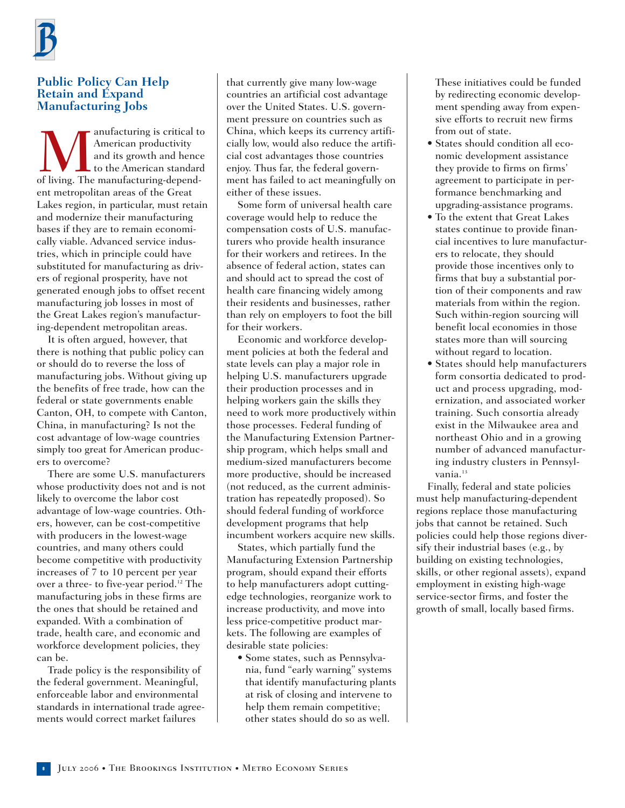

#### **Public Policy Can Help Retain and Expand Manufacturing Jobs**

**Manufacturing is critical to**<br>American productivity<br>and its growth and hence<br>of living. The manufacturing-depend-American productivity and its growth and hence to the American standard ent metropolitan areas of the Great Lakes region, in particular, must retain and modernize their manufacturing bases if they are to remain economically viable. Advanced service industries, which in principle could have substituted for manufacturing as drivers of regional prosperity, have not generated enough jobs to offset recent manufacturing job losses in most of the Great Lakes region's manufacturing-dependent metropolitan areas.

It is often argued, however, that there is nothing that public policy can or should do to reverse the loss of manufacturing jobs. Without giving up the benefits of free trade, how can the federal or state governments enable Canton, OH, to compete with Canton, China, in manufacturing? Is not the cost advantage of low-wage countries simply too great for American producers to overcome?

There are some U.S. manufacturers whose productivity does not and is not likely to overcome the labor cost advantage of low-wage countries. Others, however, can be cost-competitive with producers in the lowest-wage countries, and many others could become competitive with productivity increases of 7 to 10 percent per year over a three- to five-year period.<sup>12</sup> The manufacturing jobs in these firms are the ones that should be retained and expanded. With a combination of trade, health care, and economic and workforce development policies, they can be.

Trade policy is the responsibility of the federal government. Meaningful, enforceable labor and environmental standards in international trade agreements would correct market failures

that currently give many low-wage countries an artificial cost advantage over the United States. U.S. government pressure on countries such as China, which keeps its currency artificially low, would also reduce the artificial cost advantages those countries enjoy. Thus far, the federal government has failed to act meaningfully on either of these issues.

Some form of universal health care coverage would help to reduce the compensation costs of U.S. manufacturers who provide health insurance for their workers and retirees. In the absence of federal action, states can and should act to spread the cost of health care financing widely among their residents and businesses, rather than rely on employers to foot the bill for their workers.

Economic and workforce development policies at both the federal and state levels can play a major role in helping U.S. manufacturers upgrade their production processes and in helping workers gain the skills they need to work more productively within those processes. Federal funding of the Manufacturing Extension Partnership program, which helps small and medium-sized manufacturers become more productive, should be increased (not reduced, as the current administration has repeatedly proposed). So should federal funding of workforce development programs that help incumbent workers acquire new skills.

States, which partially fund the Manufacturing Extension Partnership program, should expand their efforts to help manufacturers adopt cuttingedge technologies, reorganize work to increase productivity, and move into less price-competitive product markets. The following are examples of desirable state policies:

• Some states, such as Pennsylvania, fund "early warning" systems that identify manufacturing plants at risk of closing and intervene to help them remain competitive; other states should do so as well.

These initiatives could be funded by redirecting economic development spending away from expensive efforts to recruit new firms from out of state.

- States should condition all economic development assistance they provide to firms on firms' agreement to participate in performance benchmarking and upgrading-assistance programs.
- To the extent that Great Lakes states continue to provide financial incentives to lure manufacturers to relocate, they should provide those incentives only to firms that buy a substantial portion of their components and raw materials from within the region. Such within-region sourcing will benefit local economies in those states more than will sourcing without regard to location.
- States should help manufacturers form consortia dedicated to product and process upgrading, modernization, and associated worker training. Such consortia already exist in the Milwaukee area and northeast Ohio and in a growing number of advanced manufacturing industry clusters in Pennsylvania.<sup>13</sup>

Finally, federal and state policies must help manufacturing-dependent regions replace those manufacturing jobs that cannot be retained. Such policies could help those regions diversify their industrial bases (e.g., by building on existing technologies, skills, or other regional assets), expand employment in existing high-wage service-sector firms, and foster the growth of small, locally based firms.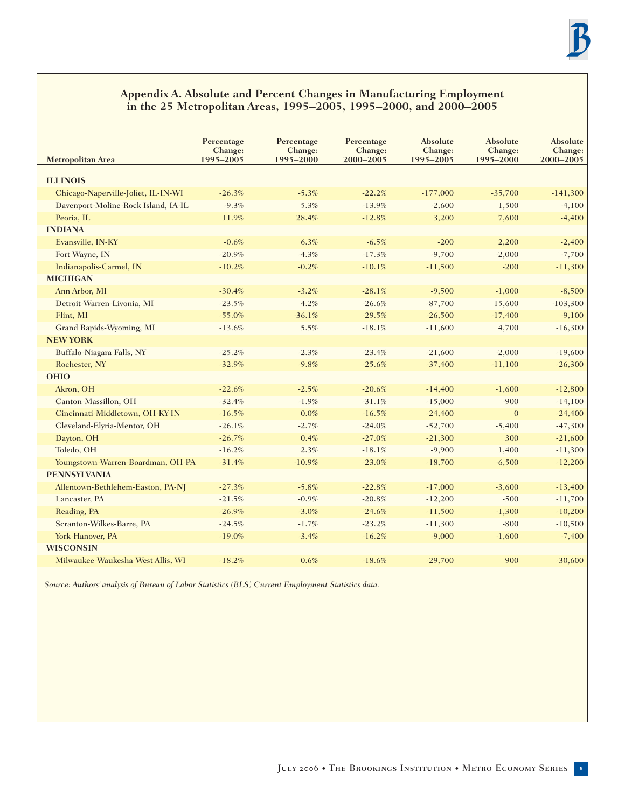#### **Appendix A. Absolute and Percent Changes in Manufacturing Employment in the 25 Metropolitan Areas, 1995–2005, 1995–2000, and 2000–2005**

| <b>Metropolitan Area</b>            | Percentage<br>Change:<br>1995-2005 | Percentage<br>Change:<br>1995-2000 | Percentage<br>Change:<br>2000-2005 | Absolute<br>Change:<br>1995-2005 | Absolute<br>Change:<br>1995-2000 | Absolute<br>Change:<br>2000-2005 |
|-------------------------------------|------------------------------------|------------------------------------|------------------------------------|----------------------------------|----------------------------------|----------------------------------|
| <b>ILLINOIS</b>                     |                                    |                                    |                                    |                                  |                                  |                                  |
| Chicago-Naperville-Joliet, IL-IN-WI | $-26.3%$                           | $-5.3%$                            | $-22.2%$                           | $-177,000$                       | $-35,700$                        | $-141,300$                       |
| Davenport-Moline-Rock Island, IA-IL | $-9.3%$                            | 5.3%                               | $-13.9%$                           | $-2,600$                         | 1,500                            | $-4,100$                         |
| Peoria, IL                          | 11.9%                              | 28.4%                              | $-12.8%$                           | 3,200                            | 7,600                            | $-4,400$                         |
| <b>INDIANA</b>                      |                                    |                                    |                                    |                                  |                                  |                                  |
| Evansville, IN-KY                   | $-0.6%$                            | 6.3%                               | $-6.5%$                            | $-200$                           | 2,200                            | $-2,400$                         |
| Fort Wayne, IN                      | $-20.9%$                           | $-4.3%$                            | $-17.3%$                           | $-9,700$                         | $-2,000$                         | $-7,700$                         |
| Indianapolis-Carmel, IN             | $-10.2%$                           | $-0.2%$                            | $-10.1%$                           | $-11,500$                        | $-200$                           | $-11,300$                        |
| <b>MICHIGAN</b>                     |                                    |                                    |                                    |                                  |                                  |                                  |
| Ann Arbor, MI                       | $-30.4%$                           | $-3.2%$                            | $-28.1%$                           | $-9,500$                         | $-1,000$                         | $-8,500$                         |
| Detroit-Warren-Livonia, MI          | $-23.5%$                           | 4.2%                               | $-26.6%$                           | $-87,700$                        | 15,600                           | $-103,300$                       |
| Flint, MI                           | $-55.0%$                           | $-36.1%$                           | $-29.5%$                           | $-26,500$                        | $-17,400$                        | $-9,100$                         |
| Grand Rapids-Wyoming, MI            | $-13.6%$                           | 5.5%                               | $-18.1%$                           | $-11,600$                        | 4,700                            | $-16,300$                        |
| <b>NEW YORK</b>                     |                                    |                                    |                                    |                                  |                                  |                                  |
| Buffalo-Niagara Falls, NY           | $-25.2%$                           | $-2.3%$                            | $-23.4%$                           | $-21,600$                        | $-2,000$                         | $-19,600$                        |
| Rochester, NY                       | $-32.9%$                           | $-9.8%$                            | $-25.6%$                           | $-37,400$                        | $-11,100$                        | $-26,300$                        |
| <b>OHIO</b>                         |                                    |                                    |                                    |                                  |                                  |                                  |
| Akron, OH                           | $-22.6%$                           | $-2.5%$                            | $-20.6%$                           | $-14,400$                        | $-1,600$                         | $-12,800$                        |
| Canton-Massillon, OH                | $-32.4%$                           | $-1.9%$                            | $-31.1%$                           | $-15,000$                        | $-900$                           | $-14,100$                        |
| Cincinnati-Middletown, OH-KY-IN     | $-16.5%$                           | 0.0%                               | $-16.5%$                           | $-24,400$                        | $\mathbf{0}$                     | $-24,400$                        |
| Cleveland-Elyria-Mentor, OH         | $-26.1%$                           | $-2.7%$                            | $-24.0%$                           | $-52,700$                        | $-5,400$                         | $-47,300$                        |
| Dayton, OH                          | $-26.7%$                           | 0.4%                               | $-27.0%$                           | $-21,300$                        | 300                              | $-21,600$                        |
| Toledo, OH                          | $-16.2%$                           | 2.3%                               | $-18.1%$                           | $-9,900$                         | 1,400                            | $-11,300$                        |
| Youngstown-Warren-Boardman, OH-PA   | $-31.4%$                           | $-10.9%$                           | $-23.0%$                           | $-18,700$                        | $-6,500$                         | $-12,200$                        |
| <b>PENNSYLVANIA</b>                 |                                    |                                    |                                    |                                  |                                  |                                  |
| Allentown-Bethlehem-Easton, PA-NJ   | $-27.3%$                           | $-5.8%$                            | $-22.8%$                           | $-17,000$                        | $-3,600$                         | $-13,400$                        |
| Lancaster, PA                       | $-21.5%$                           | $-0.9%$                            | $-20.8%$                           | $-12,200$                        | $-500$                           | $-11,700$                        |
| Reading, PA                         | $-26.9%$                           | $-3.0%$                            | $-24.6%$                           | $-11,500$                        | $-1,300$                         | $-10,200$                        |
| Scranton-Wilkes-Barre, PA           | $-24.5%$                           | $-1.7%$                            | $-23.2%$                           | $-11,300$                        | $-800$                           | $-10,500$                        |
| York-Hanover, PA                    | $-19.0%$                           | $-3.4%$                            | $-16.2%$                           | $-9,000$                         | $-1,600$                         | $-7,400$                         |
| <b>WISCONSIN</b>                    |                                    |                                    |                                    |                                  |                                  |                                  |
| Milwaukee-Waukesha-West Allis, WI   | $-18.2%$                           | 0.6%                               | $-18.6%$                           | $-29,700$                        | 900                              | $-30,600$                        |

*Source: Authors' analysis of Bureau of Labor Statistics (BLS) Current Employment Statistics data.*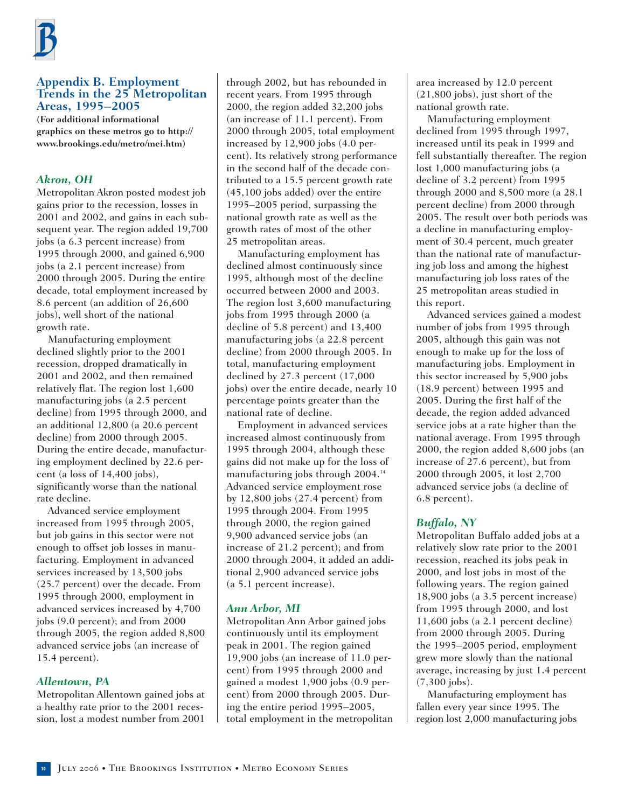

#### **Appendix B. Employment Trends in the 25 Metropolitan Areas, 1995–2005**

**(For additional informational graphics on these metros go to http:// www.brookings.edu/metro/mei.htm)**

#### *Akron, OH*

Metropolitan Akron posted modest job gains prior to the recession, losses in 2001 and 2002, and gains in each subsequent year. The region added 19,700 jobs (a 6.3 percent increase) from 1995 through 2000, and gained 6,900 jobs (a 2.1 percent increase) from 2000 through 2005. During the entire decade, total employment increased by 8.6 percent (an addition of 26,600 jobs), well short of the national growth rate.

Manufacturing employment declined slightly prior to the 2001 recession, dropped dramatically in 2001 and 2002, and then remained relatively flat. The region lost 1,600 manufacturing jobs (a 2.5 percent decline) from 1995 through 2000, and an additional 12,800 (a 20.6 percent decline) from 2000 through 2005. During the entire decade, manufacturing employment declined by 22.6 percent (a loss of 14,400 jobs), significantly worse than the national rate decline.

Advanced service employment increased from 1995 through 2005, but job gains in this sector were not enough to offset job losses in manufacturing. Employment in advanced services increased by 13,500 jobs (25.7 percent) over the decade. From 1995 through 2000, employment in advanced services increased by 4,700 jobs (9.0 percent); and from 2000 through 2005, the region added 8,800 advanced service jobs (an increase of 15.4 percent).

#### *Allentown, PA*

Metropolitan Allentown gained jobs at a healthy rate prior to the 2001 recession, lost a modest number from 2001 through 2002, but has rebounded in recent years. From 1995 through 2000, the region added 32,200 jobs (an increase of 11.1 percent). From 2000 through 2005, total employment increased by 12,900 jobs (4.0 percent). Its relatively strong performance in the second half of the decade contributed to a 15.5 percent growth rate (45,100 jobs added) over the entire 1995–2005 period, surpassing the national growth rate as well as the growth rates of most of the other 25 metropolitan areas.

Manufacturing employment has declined almost continuously since 1995, although most of the decline occurred between 2000 and 2003. The region lost 3,600 manufacturing jobs from 1995 through 2000 (a decline of 5.8 percent) and 13,400 manufacturing jobs (a 22.8 percent decline) from 2000 through 2005. In total, manufacturing employment declined by 27.3 percent (17,000 jobs) over the entire decade, nearly 10 percentage points greater than the national rate of decline.

Employment in advanced services increased almost continuously from 1995 through 2004, although these gains did not make up for the loss of manufacturing jobs through 2004.<sup>14</sup> Advanced service employment rose by 12,800 jobs (27.4 percent) from 1995 through 2004. From 1995 through 2000, the region gained 9,900 advanced service jobs (an increase of 21.2 percent); and from 2000 through 2004, it added an additional 2,900 advanced service jobs (a 5.1 percent increase).

#### *Ann Arbor, MI*

Metropolitan Ann Arbor gained jobs continuously until its employment peak in 2001. The region gained 19,900 jobs (an increase of 11.0 percent) from 1995 through 2000 and gained a modest 1,900 jobs (0.9 percent) from 2000 through 2005. During the entire period 1995–2005, total employment in the metropolitan area increased by 12.0 percent (21,800 jobs), just short of the national growth rate.

Manufacturing employment declined from 1995 through 1997, increased until its peak in 1999 and fell substantially thereafter. The region lost 1,000 manufacturing jobs (a decline of 3.2 percent) from 1995 through 2000 and 8,500 more (a 28.1 percent decline) from 2000 through 2005. The result over both periods was a decline in manufacturing employment of 30.4 percent, much greater than the national rate of manufacturing job loss and among the highest manufacturing job loss rates of the 25 metropolitan areas studied in this report.

Advanced services gained a modest number of jobs from 1995 through 2005, although this gain was not enough to make up for the loss of manufacturing jobs. Employment in this sector increased by 5,900 jobs (18.9 percent) between 1995 and 2005. During the first half of the decade, the region added advanced service jobs at a rate higher than the national average. From 1995 through 2000, the region added 8,600 jobs (an increase of 27.6 percent), but from 2000 through 2005, it lost 2,700 advanced service jobs (a decline of 6.8 percent).

#### *Buffalo, NY*

Metropolitan Buffalo added jobs at a relatively slow rate prior to the 2001 recession, reached its jobs peak in 2000, and lost jobs in most of the following years. The region gained 18,900 jobs (a 3.5 percent increase) from 1995 through 2000, and lost 11,600 jobs (a 2.1 percent decline) from 2000 through 2005. During the 1995–2005 period, employment grew more slowly than the national average, increasing by just 1.4 percent (7,300 jobs).

Manufacturing employment has fallen every year since 1995. The region lost 2,000 manufacturing jobs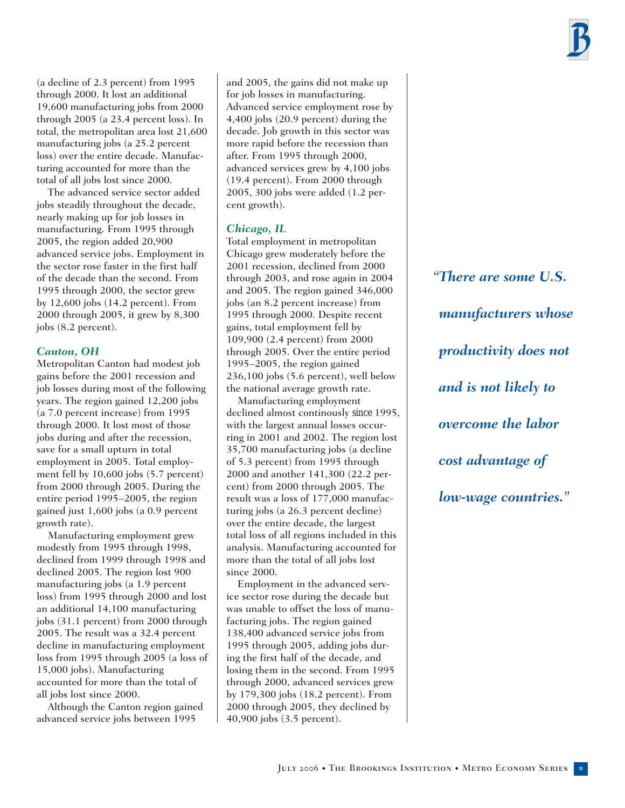(a decline of 2.3 percent) from 1995 through 2000. It lost an additional 19,600 manufacturing jobs from 2000 through 2005 (a 23.4 percent loss). In total, the metropolitan area lost 21,600 manufacturing jobs (a 25.2 percent loss) over the entire decade. Manufacturing accounted for more than the total of all jobs lost since 2000.

The advanced service sector added jobs steadily throughout the decade, nearly making up for job losses in manufacturing. From 1995 through 2005, the region added 20,900 advanced service jobs. Employment in the sector rose faster in the first half of the decade than the second. From 1995 through 2000, the sector grew by 12,600 jobs (14.2 percent). From 2000 through 2005, it grew by 8,300 jobs (8.2 percent).

#### *Canton, OH*

Metropolitan Canton had modest job gains before the 2001 recession and job losses during most of the following years. The region gained 12,200 jobs (a 7.0 percent increase) from 1995 through 2000. It lost most of those jobs during and after the recession, save for a small upturn in total employment in 2005. Total employment fell by 10,600 jobs (5.7 percent) from 2000 through 2005. During the entire period 1995–2005, the region gained just 1,600 jobs (a 0.9 percent growth rate).

Manufacturing employment grew modestly from 1995 through 1998, declined from 1999 through 1998 and declined 2005. The region lost 900 manufacturing jobs (a 1.9 percent loss) from 1995 through 2000 and lost an additional 14,100 manufacturing jobs (31.1 percent) from 2000 through 2005. The result was a 32.4 percent decline in manufacturing employment loss from 1995 through 2005 (a loss of 15,000 jobs). Manufacturing accounted for more than the total of all jobs lost since 2000.

Although the Canton region gained advanced service jobs between 1995

and 2005, the gains did not make up for job losses in manufacturing. Advanced service employment rose by 4,400 jobs (20.9 percent) during the decade. Job growth in this sector was more rapid before the recession than after. From 1995 through 2000, advanced services grew by 4,100 jobs (19.4 percent). From 2000 through 2005, 300 jobs were added (1.2 percent growth).

## *Chicago, IL*

Total employment in metropolitan Chicago grew moderately before the 2001 recession, declined from 2000 through 2003, and rose again in 2004 and 2005. The region gained 346,000 jobs (an 8.2 percent increase) from 1995 through 2000. Despite recent gains, total employment fell by 109,900 (2.4 percent) from 2000 through 2005. Over the entire period 1995–2005, the region gained 236,100 jobs (5.6 percent), well below the national average growth rate.

Manufacturing employment declined almost continously since 1995, with the largest annual losses occurring in 2001 and 2002. The region lost 35,700 manufacturing jobs (a decline of 5.3 percent) from 1995 through 2000 and another 141,300 (22.2 percent) from 2000 through 2005. The result was a loss of 177,000 manufacturing jobs (a 26.3 percent decline) over the entire decade, the largest total loss of all regions included in this analysis. Manufacturing accounted for more than the total of all jobs lost since 2000.

Employment in the advanced service sector rose during the decade but was unable to offset the loss of manufacturing jobs. The region gained 138,400 advanced service jobs from 1995 through 2005, adding jobs during the first half of the decade, and losing them in the second. From 1995 through 2000, advanced services grew by 179,300 jobs (18.2 percent). From 2000 through 2005, they declined by 40,900 jobs (3.5 percent).

*"There are some U.S. manufacturers whose productivity does not and is not likely to overcome the labor cost advantage of low-wage countries."*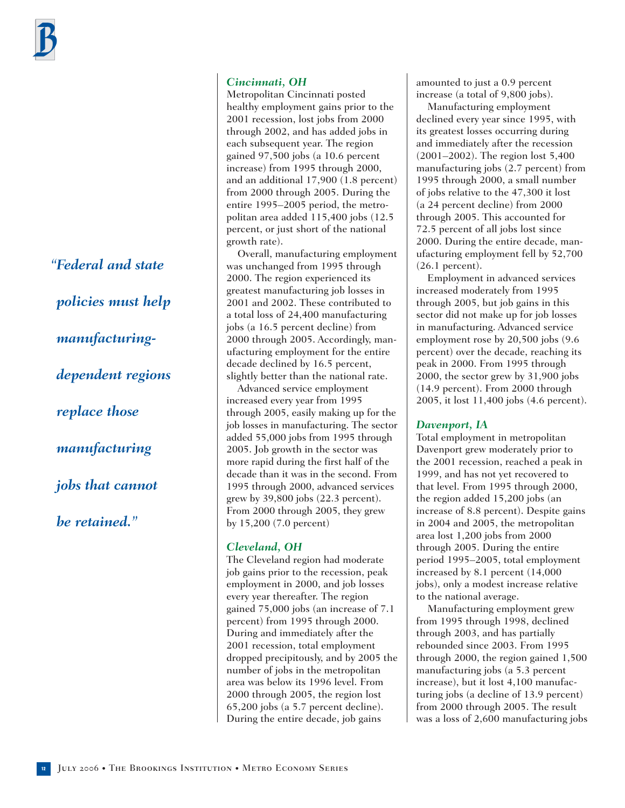*"Federal and state policies must help manufacturingdependent regions replace those manufacturing jobs that cannot be retained."*

#### *Cincinnati, OH*

Metropolitan Cincinnati posted healthy employment gains prior to the 2001 recession, lost jobs from 2000 through 2002, and has added jobs in each subsequent year. The region gained 97,500 jobs (a 10.6 percent increase) from 1995 through 2000, and an additional 17,900 (1.8 percent) from 2000 through 2005. During the entire 1995–2005 period, the metropolitan area added 115,400 jobs (12.5 percent, or just short of the national growth rate).

Overall, manufacturing employment was unchanged from 1995 through 2000. The region experienced its greatest manufacturing job losses in 2001 and 2002. These contributed to a total loss of 24,400 manufacturing jobs (a 16.5 percent decline) from 2000 through 2005. Accordingly, manufacturing employment for the entire decade declined by 16.5 percent, slightly better than the national rate.

Advanced service employment increased every year from 1995 through 2005, easily making up for the job losses in manufacturing. The sector added 55,000 jobs from 1995 through 2005. Job growth in the sector was more rapid during the first half of the decade than it was in the second. From 1995 through 2000, advanced services grew by 39,800 jobs (22.3 percent). From 2000 through 2005, they grew by 15,200 (7.0 percent)

#### *Cleveland, OH*

The Cleveland region had moderate job gains prior to the recession, peak employment in 2000, and job losses every year thereafter. The region gained 75,000 jobs (an increase of 7.1 percent) from 1995 through 2000. During and immediately after the 2001 recession, total employment dropped precipitously, and by 2005 the number of jobs in the metropolitan area was below its 1996 level. From 2000 through 2005, the region lost 65,200 jobs (a 5.7 percent decline). During the entire decade, job gains

amounted to just a 0.9 percent increase (a total of 9,800 jobs).

Manufacturing employment declined every year since 1995, with its greatest losses occurring during and immediately after the recession (2001–2002). The region lost 5,400 manufacturing jobs (2.7 percent) from 1995 through 2000, a small number of jobs relative to the 47,300 it lost (a 24 percent decline) from 2000 through 2005. This accounted for 72.5 percent of all jobs lost since 2000. During the entire decade, manufacturing employment fell by 52,700 (26.1 percent).

Employment in advanced services increased moderately from 1995 through 2005, but job gains in this sector did not make up for job losses in manufacturing. Advanced service employment rose by 20,500 jobs (9.6 percent) over the decade, reaching its peak in 2000. From 1995 through 2000, the sector grew by 31,900 jobs (14.9 percent). From 2000 through 2005, it lost 11,400 jobs (4.6 percent).

#### *Davenport, IA*

Total employment in metropolitan Davenport grew moderately prior to the 2001 recession, reached a peak in 1999, and has not yet recovered to that level. From 1995 through 2000, the region added 15,200 jobs (an increase of 8.8 percent). Despite gains in 2004 and 2005, the metropolitan area lost 1,200 jobs from 2000 through 2005. During the entire period 1995–2005, total employment increased by 8.1 percent (14,000 jobs), only a modest increase relative to the national average.

Manufacturing employment grew from 1995 through 1998, declined through 2003, and has partially rebounded since 2003. From 1995 through 2000, the region gained 1,500 manufacturing jobs (a 5.3 percent increase), but it lost 4,100 manufacturing jobs (a decline of 13.9 percent) from 2000 through 2005. The result was a loss of 2,600 manufacturing jobs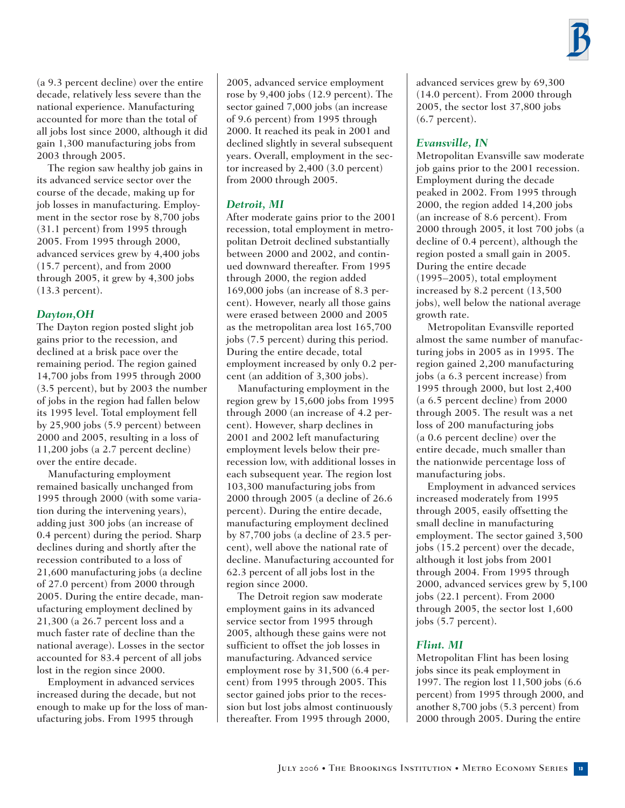

(a 9.3 percent decline) over the entire decade, relatively less severe than the national experience. Manufacturing accounted for more than the total of all jobs lost since 2000, although it did gain 1,300 manufacturing jobs from 2003 through 2005.

The region saw healthy job gains in its advanced service sector over the course of the decade, making up for job losses in manufacturing. Employment in the sector rose by 8,700 jobs (31.1 percent) from 1995 through 2005. From 1995 through 2000, advanced services grew by 4,400 jobs (15.7 percent), and from 2000 through 2005, it grew by 4,300 jobs (13.3 percent).

#### *Dayton,OH*

The Dayton region posted slight job gains prior to the recession, and declined at a brisk pace over the remaining period. The region gained 14,700 jobs from 1995 through 2000 (3.5 percent), but by 2003 the number of jobs in the region had fallen below its 1995 level. Total employment fell by 25,900 jobs (5.9 percent) between 2000 and 2005, resulting in a loss of 11,200 jobs (a 2.7 percent decline) over the entire decade.

Manufacturing employment remained basically unchanged from 1995 through 2000 (with some variation during the intervening years), adding just 300 jobs (an increase of 0.4 percent) during the period. Sharp declines during and shortly after the recession contributed to a loss of 21,600 manufacturing jobs (a decline of 27.0 percent) from 2000 through 2005. During the entire decade, manufacturing employment declined by 21,300 (a 26.7 percent loss and a much faster rate of decline than the national average). Losses in the sector accounted for 83.4 percent of all jobs lost in the region since 2000.

Employment in advanced services increased during the decade, but not enough to make up for the loss of manufacturing jobs. From 1995 through

2005, advanced service employment rose by 9,400 jobs (12.9 percent). The sector gained 7,000 jobs (an increase of 9.6 percent) from 1995 through 2000. It reached its peak in 2001 and declined slightly in several subsequent years. Overall, employment in the sector increased by 2,400 (3.0 percent) from 2000 through 2005.

#### *Detroit, MI*

After moderate gains prior to the 2001 recession, total employment in metropolitan Detroit declined substantially between 2000 and 2002, and continued downward thereafter. From 1995 through 2000, the region added 169,000 jobs (an increase of 8.3 percent). However, nearly all those gains were erased between 2000 and 2005 as the metropolitan area lost 165,700 jobs (7.5 percent) during this period. During the entire decade, total employment increased by only 0.2 percent (an addition of 3,300 jobs).

Manufacturing employment in the region grew by 15,600 jobs from 1995 through 2000 (an increase of 4.2 percent). However, sharp declines in 2001 and 2002 left manufacturing employment levels below their prerecession low, with additional losses in each subsequent year. The region lost 103,300 manufacturing jobs from 2000 through 2005 (a decline of 26.6 percent). During the entire decade, manufacturing employment declined by 87,700 jobs (a decline of 23.5 percent), well above the national rate of decline. Manufacturing accounted for 62.3 percent of all jobs lost in the region since 2000.

The Detroit region saw moderate employment gains in its advanced service sector from 1995 through 2005, although these gains were not sufficient to offset the job losses in manufacturing. Advanced service employment rose by 31,500 (6.4 percent) from 1995 through 2005. This sector gained jobs prior to the recession but lost jobs almost continuously thereafter. From 1995 through 2000,

advanced services grew by 69,300 (14.0 percent). From 2000 through 2005, the sector lost 37,800 jobs (6.7 percent).

#### *Evansville, IN*

Metropolitan Evansville saw moderate job gains prior to the 2001 recession. Employment during the decade peaked in 2002. From 1995 through 2000, the region added 14,200 jobs (an increase of 8.6 percent). From 2000 through 2005, it lost 700 jobs (a decline of 0.4 percent), although the region posted a small gain in 2005. During the entire decade (1995–2005), total employment increased by 8.2 percent (13,500 jobs), well below the national average growth rate.

Metropolitan Evansville reported almost the same number of manufacturing jobs in 2005 as in 1995. The region gained 2,200 manufacturing jobs (a 6.3 percent increase) from 1995 through 2000, but lost 2,400 (a 6.5 percent decline) from 2000 through 2005. The result was a net loss of 200 manufacturing jobs (a 0.6 percent decline) over the entire decade, much smaller than the nationwide percentage loss of manufacturing jobs.

Employment in advanced services increased moderately from 1995 through 2005, easily offsetting the small decline in manufacturing employment. The sector gained 3,500 jobs (15.2 percent) over the decade, although it lost jobs from 2001 through 2004. From 1995 through 2000, advanced services grew by 5,100 jobs (22.1 percent). From 2000 through 2005, the sector lost 1,600 jobs (5.7 percent).

#### *Flint. MI*

Metropolitan Flint has been losing jobs since its peak employment in 1997. The region lost 11,500 jobs (6.6 percent) from 1995 through 2000, and another 8,700 jobs (5.3 percent) from 2000 through 2005. During the entire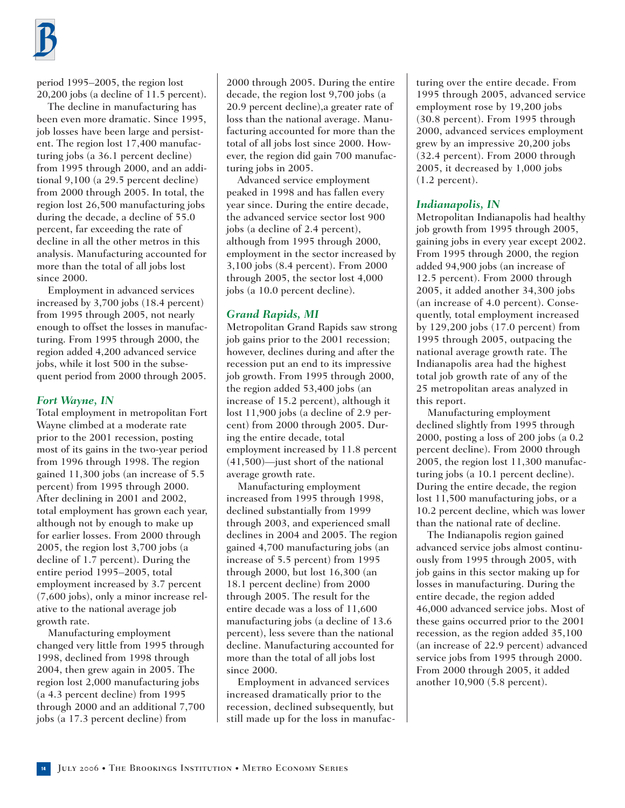

period 1995–2005, the region lost 20,200 jobs (a decline of 11.5 percent).

The decline in manufacturing has been even more dramatic. Since 1995, job losses have been large and persistent. The region lost 17,400 manufacturing jobs (a 36.1 percent decline) from 1995 through 2000, and an additional 9,100 (a 29.5 percent decline) from 2000 through 2005. In total, the region lost 26,500 manufacturing jobs during the decade, a decline of 55.0 percent, far exceeding the rate of decline in all the other metros in this analysis. Manufacturing accounted for more than the total of all jobs lost since 2000.

Employment in advanced services increased by 3,700 jobs (18.4 percent) from 1995 through 2005, not nearly enough to offset the losses in manufacturing. From 1995 through 2000, the region added 4,200 advanced service jobs, while it lost 500 in the subsequent period from 2000 through 2005.

#### *Fort Wayne, IN*

Total employment in metropolitan Fort Wayne climbed at a moderate rate prior to the 2001 recession, posting most of its gains in the two-year period from 1996 through 1998. The region gained 11,300 jobs (an increase of 5.5 percent) from 1995 through 2000. After declining in 2001 and 2002, total employment has grown each year, although not by enough to make up for earlier losses. From 2000 through 2005, the region lost 3,700 jobs (a decline of 1.7 percent). During the entire period 1995–2005, total employment increased by 3.7 percent (7,600 jobs), only a minor increase relative to the national average job growth rate.

Manufacturing employment changed very little from 1995 through 1998, declined from 1998 through 2004, then grew again in 2005. The region lost 2,000 manufacturing jobs (a 4.3 percent decline) from 1995 through 2000 and an additional 7,700 jobs (a 17.3 percent decline) from

2000 through 2005. During the entire decade, the region lost 9,700 jobs (a 20.9 percent decline),a greater rate of loss than the national average. Manufacturing accounted for more than the total of all jobs lost since 2000. However, the region did gain 700 manufacturing jobs in 2005.

Advanced service employment peaked in 1998 and has fallen every year since. During the entire decade, the advanced service sector lost 900 jobs (a decline of 2.4 percent), although from 1995 through 2000, employment in the sector increased by 3,100 jobs (8.4 percent). From 2000 through 2005, the sector lost 4,000 jobs (a 10.0 percent decline).

#### *Grand Rapids, MI*

Metropolitan Grand Rapids saw strong job gains prior to the 2001 recession; however, declines during and after the recession put an end to its impressive job growth. From 1995 through 2000, the region added 53,400 jobs (an increase of 15.2 percent), although it lost 11,900 jobs (a decline of 2.9 percent) from 2000 through 2005. During the entire decade, total employment increased by 11.8 percent (41,500)—just short of the national average growth rate.

Manufacturing employment increased from 1995 through 1998, declined substantially from 1999 through 2003, and experienced small declines in 2004 and 2005. The region gained 4,700 manufacturing jobs (an increase of 5.5 percent) from 1995 through 2000, but lost 16,300 (an 18.1 percent decline) from 2000 through 2005. The result for the entire decade was a loss of 11,600 manufacturing jobs (a decline of 13.6 percent), less severe than the national decline. Manufacturing accounted for more than the total of all jobs lost since 2000.

Employment in advanced services increased dramatically prior to the recession, declined subsequently, but still made up for the loss in manufacturing over the entire decade. From 1995 through 2005, advanced service employment rose by 19,200 jobs (30.8 percent). From 1995 through 2000, advanced services employment grew by an impressive 20,200 jobs (32.4 percent). From 2000 through 2005, it decreased by 1,000 jobs (1.2 percent).

#### *Indianapolis, IN*

Metropolitan Indianapolis had healthy job growth from 1995 through 2005, gaining jobs in every year except 2002. From 1995 through 2000, the region added 94,900 jobs (an increase of 12.5 percent). From 2000 through 2005, it added another 34,300 jobs (an increase of 4.0 percent). Consequently, total employment increased by 129,200 jobs (17.0 percent) from 1995 through 2005, outpacing the national average growth rate. The Indianapolis area had the highest total job growth rate of any of the 25 metropolitan areas analyzed in this report.

Manufacturing employment declined slightly from 1995 through 2000, posting a loss of 200 jobs (a 0.2 percent decline). From 2000 through 2005, the region lost 11,300 manufacturing jobs (a 10.1 percent decline). During the entire decade, the region lost 11,500 manufacturing jobs, or a 10.2 percent decline, which was lower than the national rate of decline.

The Indianapolis region gained advanced service jobs almost continuously from 1995 through 2005, with job gains in this sector making up for losses in manufacturing. During the entire decade, the region added 46,000 advanced service jobs. Most of these gains occurred prior to the 2001 recession, as the region added 35,100 (an increase of 22.9 percent) advanced service jobs from 1995 through 2000. From 2000 through 2005, it added another 10,900 (5.8 percent).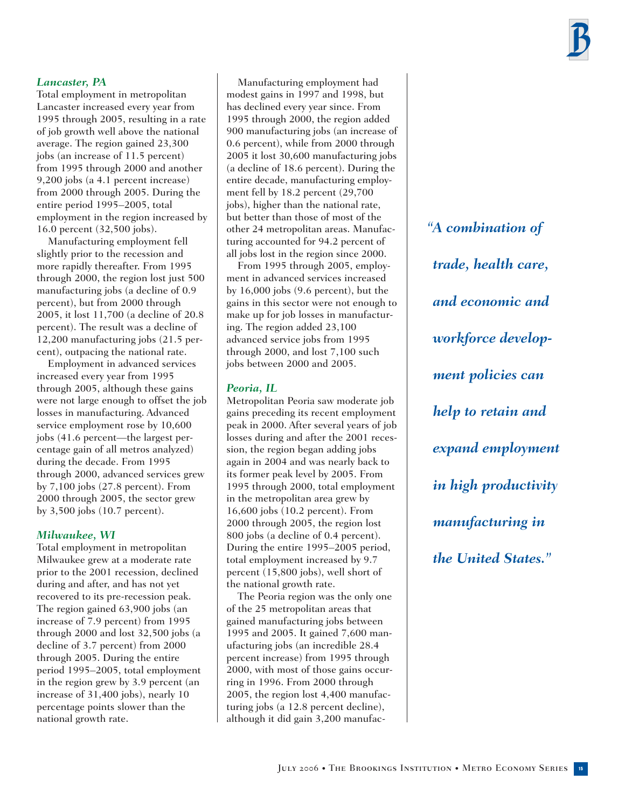#### *Lancaster, PA*

Total employment in metropolitan Lancaster increased every year from 1995 through 2005, resulting in a rate of job growth well above the national average. The region gained 23,300 jobs (an increase of 11.5 percent) from 1995 through 2000 and another 9,200 jobs (a 4.1 percent increase) from 2000 through 2005. During the entire period 1995–2005, total employment in the region increased by 16.0 percent (32,500 jobs).

Manufacturing employment fell slightly prior to the recession and more rapidly thereafter. From 1995 through 2000, the region lost just 500 manufacturing jobs (a decline of 0.9 percent), but from 2000 through 2005, it lost 11,700 (a decline of 20.8 percent). The result was a decline of 12,200 manufacturing jobs (21.5 percent), outpacing the national rate.

Employment in advanced services increased every year from 1995 through 2005, although these gains were not large enough to offset the job losses in manufacturing. Advanced service employment rose by 10,600 jobs (41.6 percent—the largest percentage gain of all metros analyzed) during the decade. From 1995 through 2000, advanced services grew by 7,100 jobs (27.8 percent). From 2000 through 2005, the sector grew by 3,500 jobs (10.7 percent).

#### *Milwaukee, WI*

Total employment in metropolitan Milwaukee grew at a moderate rate prior to the 2001 recession, declined during and after, and has not yet recovered to its pre-recession peak. The region gained 63,900 jobs (an increase of 7.9 percent) from 1995 through 2000 and lost 32,500 jobs (a decline of 3.7 percent) from 2000 through 2005. During the entire period 1995–2005, total employment in the region grew by 3.9 percent (an increase of 31,400 jobs), nearly 10 percentage points slower than the national growth rate.

Manufacturing employment had modest gains in 1997 and 1998, but has declined every year since. From 1995 through 2000, the region added 900 manufacturing jobs (an increase of 0.6 percent), while from 2000 through 2005 it lost 30,600 manufacturing jobs (a decline of 18.6 percent). During the entire decade, manufacturing employment fell by 18.2 percent (29,700 jobs), higher than the national rate, but better than those of most of the other 24 metropolitan areas. Manufacturing accounted for 94.2 percent of all jobs lost in the region since 2000.

From 1995 through 2005, employment in advanced services increased by 16,000 jobs (9.6 percent), but the gains in this sector were not enough to make up for job losses in manufacturing. The region added 23,100 advanced service jobs from 1995 through 2000, and lost 7,100 such jobs between 2000 and 2005.

#### *Peoria, IL*

Metropolitan Peoria saw moderate job gains preceding its recent employment peak in 2000. After several years of job losses during and after the 2001 recession, the region began adding jobs again in 2004 and was nearly back to its former peak level by 2005. From 1995 through 2000, total employment in the metropolitan area grew by 16,600 jobs (10.2 percent). From 2000 through 2005, the region lost 800 jobs (a decline of 0.4 percent). During the entire 1995–2005 period, total employment increased by 9.7 percent (15,800 jobs), well short of the national growth rate.

The Peoria region was the only one of the 25 metropolitan areas that gained manufacturing jobs between 1995 and 2005. It gained 7,600 manufacturing jobs (an incredible 28.4 percent increase) from 1995 through 2000, with most of those gains occurring in 1996. From 2000 through 2005, the region lost 4,400 manufacturing jobs (a 12.8 percent decline), although it did gain 3,200 manufac*"A combination of trade, health care, and economic and workforce development policies can help to retain and expand employment in high productivity manufacturing in the United States."*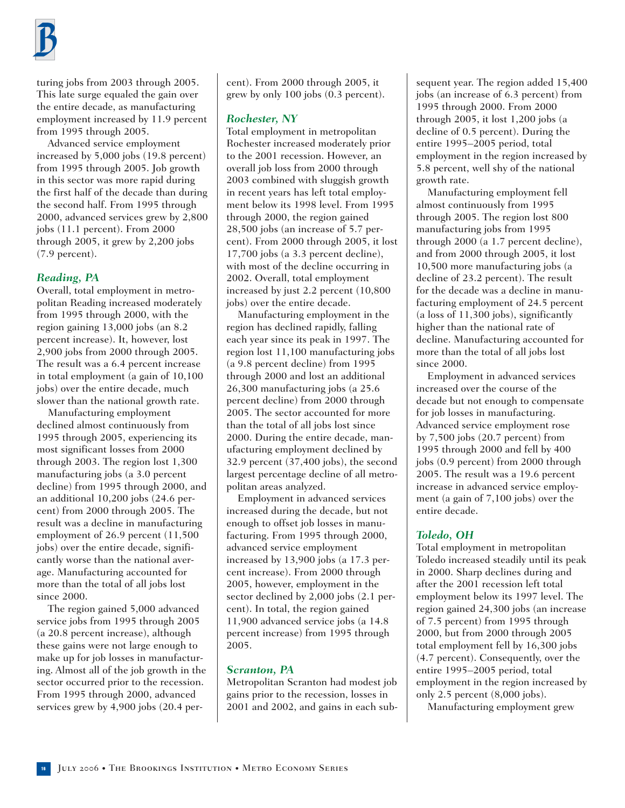

turing jobs from 2003 through 2005. This late surge equaled the gain over the entire decade, as manufacturing employment increased by 11.9 percent from 1995 through 2005.

Advanced service employment increased by 5,000 jobs (19.8 percent) from 1995 through 2005. Job growth in this sector was more rapid during the first half of the decade than during the second half. From 1995 through 2000, advanced services grew by 2,800 jobs (11.1 percent). From 2000 through 2005, it grew by 2,200 jobs (7.9 percent).

#### *Reading, PA*

Overall, total employment in metropolitan Reading increased moderately from 1995 through 2000, with the region gaining 13,000 jobs (an 8.2 percent increase). It, however, lost 2,900 jobs from 2000 through 2005. The result was a 6.4 percent increase in total employment (a gain of 10,100 jobs) over the entire decade, much slower than the national growth rate.

Manufacturing employment declined almost continuously from 1995 through 2005, experiencing its most significant losses from 2000 through 2003. The region lost 1,300 manufacturing jobs (a 3.0 percent decline) from 1995 through 2000, and an additional 10,200 jobs (24.6 percent) from 2000 through 2005. The result was a decline in manufacturing employment of 26.9 percent (11,500 jobs) over the entire decade, significantly worse than the national average. Manufacturing accounted for more than the total of all jobs lost since 2000.

The region gained 5,000 advanced service jobs from 1995 through 2005 (a 20.8 percent increase), although these gains were not large enough to make up for job losses in manufacturing. Almost all of the job growth in the sector occurred prior to the recession. From 1995 through 2000, advanced services grew by 4,900 jobs (20.4 per-

cent). From 2000 through 2005, it grew by only 100 jobs (0.3 percent).

#### *Rochester, NY*

Total employment in metropolitan Rochester increased moderately prior to the 2001 recession. However, an overall job loss from 2000 through 2003 combined with sluggish growth in recent years has left total employment below its 1998 level. From 1995 through 2000, the region gained 28,500 jobs (an increase of 5.7 percent). From 2000 through 2005, it lost 17,700 jobs (a 3.3 percent decline), with most of the decline occurring in 2002. Overall, total employment increased by just 2.2 percent (10,800 jobs) over the entire decade.

Manufacturing employment in the region has declined rapidly, falling each year since its peak in 1997. The region lost 11,100 manufacturing jobs (a 9.8 percent decline) from 1995 through 2000 and lost an additional 26,300 manufacturing jobs (a 25.6 percent decline) from 2000 through 2005. The sector accounted for more than the total of all jobs lost since 2000. During the entire decade, manufacturing employment declined by 32.9 percent (37,400 jobs), the second largest percentage decline of all metropolitan areas analyzed.

Employment in advanced services increased during the decade, but not enough to offset job losses in manufacturing. From 1995 through 2000, advanced service employment increased by 13,900 jobs (a 17.3 percent increase). From 2000 through 2005, however, employment in the sector declined by 2,000 jobs (2.1 percent). In total, the region gained 11,900 advanced service jobs (a 14.8 percent increase) from 1995 through 2005.

#### *Scranton, PA*

Metropolitan Scranton had modest job gains prior to the recession, losses in 2001 and 2002, and gains in each sub-

sequent year. The region added 15,400 jobs (an increase of 6.3 percent) from 1995 through 2000. From 2000 through 2005, it lost 1,200 jobs (a decline of 0.5 percent). During the entire 1995–2005 period, total employment in the region increased by 5.8 percent, well shy of the national growth rate.

Manufacturing employment fell almost continuously from 1995 through 2005. The region lost 800 manufacturing jobs from 1995 through 2000 (a 1.7 percent decline), and from 2000 through 2005, it lost 10,500 more manufacturing jobs (a decline of 23.2 percent). The result for the decade was a decline in manufacturing employment of 24.5 percent (a loss of 11,300 jobs), significantly higher than the national rate of decline. Manufacturing accounted for more than the total of all jobs lost since 2000.

Employment in advanced services increased over the course of the decade but not enough to compensate for job losses in manufacturing. Advanced service employment rose by 7,500 jobs (20.7 percent) from 1995 through 2000 and fell by 400 jobs (0.9 percent) from 2000 through 2005. The result was a 19.6 percent increase in advanced service employment (a gain of 7,100 jobs) over the entire decade.

#### *Toledo, OH*

Total employment in metropolitan Toledo increased steadily until its peak in 2000. Sharp declines during and after the 2001 recession left total employment below its 1997 level. The region gained 24,300 jobs (an increase of 7.5 percent) from 1995 through 2000, but from 2000 through 2005 total employment fell by 16,300 jobs (4.7 percent). Consequently, over the entire 1995–2005 period, total employment in the region increased by only 2.5 percent (8,000 jobs).

Manufacturing employment grew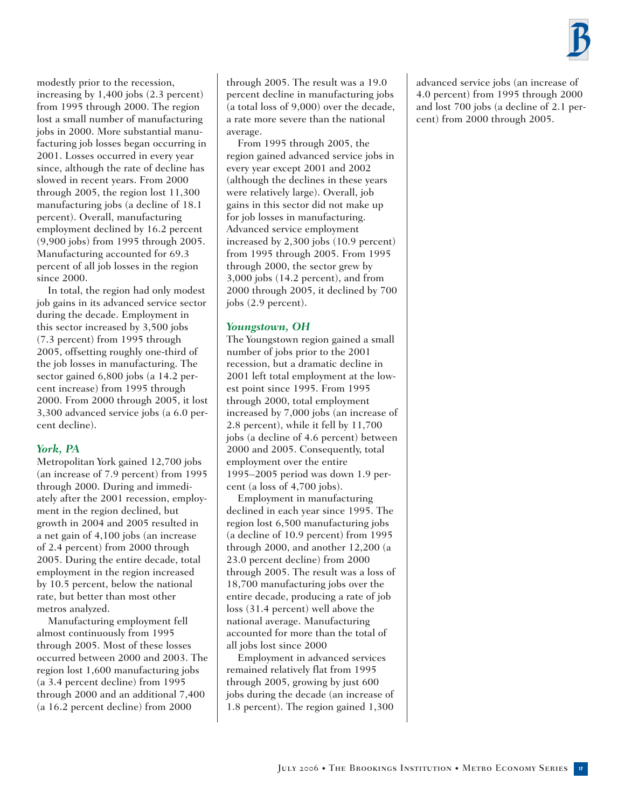

modestly prior to the recession, increasing by 1,400 jobs (2.3 percent) from 1995 through 2000. The region lost a small number of manufacturing jobs in 2000. More substantial manufacturing job losses began occurring in 2001. Losses occurred in every year since, although the rate of decline has slowed in recent years. From 2000 through 2005, the region lost 11,300 manufacturing jobs (a decline of 18.1 percent). Overall, manufacturing employment declined by 16.2 percent (9,900 jobs) from 1995 through 2005. Manufacturing accounted for 69.3 percent of all job losses in the region since 2000.

In total, the region had only modest job gains in its advanced service sector during the decade. Employment in this sector increased by 3,500 jobs (7.3 percent) from 1995 through 2005, offsetting roughly one-third of the job losses in manufacturing. The sector gained 6,800 jobs (a 14.2 percent increase) from 1995 through 2000. From 2000 through 2005, it lost 3,300 advanced service jobs (a 6.0 percent decline).

#### *York, PA*

Metropolitan York gained 12,700 jobs (an increase of 7.9 percent) from 1995 through 2000. During and immediately after the 2001 recession, employment in the region declined, but growth in 2004 and 2005 resulted in a net gain of 4,100 jobs (an increase of 2.4 percent) from 2000 through 2005. During the entire decade, total employment in the region increased by 10.5 percent, below the national rate, but better than most other metros analyzed.

Manufacturing employment fell almost continuously from 1995 through 2005. Most of these losses occurred between 2000 and 2003. The region lost 1,600 manufacturing jobs (a 3.4 percent decline) from 1995 through 2000 and an additional 7,400 (a 16.2 percent decline) from 2000

through 2005. The result was a 19.0 percent decline in manufacturing jobs (a total loss of 9,000) over the decade, a rate more severe than the national average.

From 1995 through 2005, the region gained advanced service jobs in every year except 2001 and 2002 (although the declines in these years were relatively large). Overall, job gains in this sector did not make up for job losses in manufacturing. Advanced service employment increased by 2,300 jobs (10.9 percent) from 1995 through 2005. From 1995 through 2000, the sector grew by 3,000 jobs (14.2 percent), and from 2000 through 2005, it declined by 700 jobs (2.9 percent).

#### *Youngstown, OH*

The Youngstown region gained a small number of jobs prior to the 2001 recession, but a dramatic decline in 2001 left total employment at the lowest point since 1995. From 1995 through 2000, total employment increased by 7,000 jobs (an increase of 2.8 percent), while it fell by 11,700 jobs (a decline of 4.6 percent) between 2000 and 2005. Consequently, total employment over the entire 1995–2005 period was down 1.9 percent (a loss of 4,700 jobs).

Employment in manufacturing declined in each year since 1995. The region lost 6,500 manufacturing jobs (a decline of 10.9 percent) from 1995 through 2000, and another 12,200 (a 23.0 percent decline) from 2000 through 2005. The result was a loss of 18,700 manufacturing jobs over the entire decade, producing a rate of job loss (31.4 percent) well above the national average. Manufacturing accounted for more than the total of all jobs lost since 2000

Employment in advanced services remained relatively flat from 1995 through 2005, growing by just 600 jobs during the decade (an increase of 1.8 percent). The region gained 1,300 advanced service jobs (an increase of 4.0 percent) from 1995 through 2000 and lost 700 jobs (a decline of 2.1 percent) from 2000 through 2005.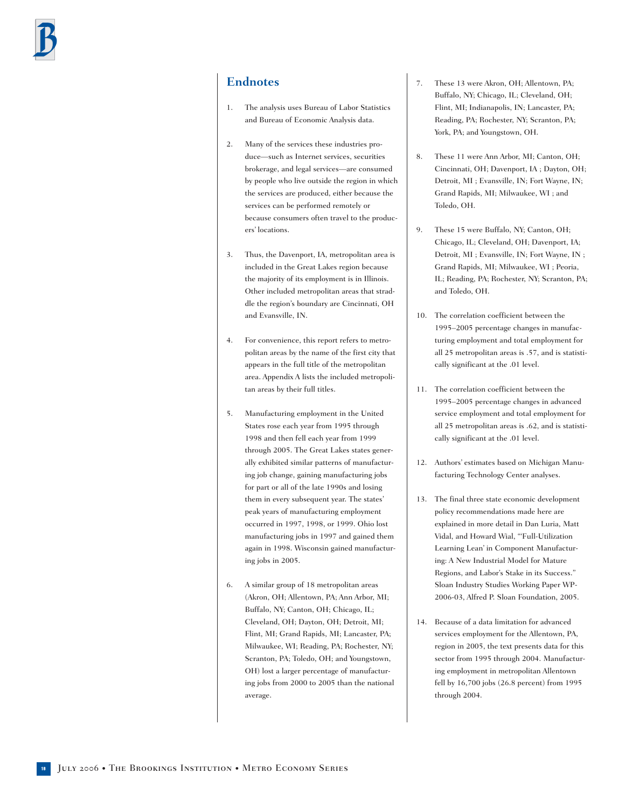## **Endnotes**

- 1. The analysis uses Bureau of Labor Statistics and Bureau of Economic Analysis data.
- 2. Many of the services these industries produce—such as Internet services, securities brokerage, and legal services—are consumed by people who live outside the region in which the services are produced, either because the services can be performed remotely or because consumers often travel to the producers' locations.
- 3. Thus, the Davenport, IA, metropolitan area is included in the Great Lakes region because the majority of its employment is in Illinois. Other included metropolitan areas that straddle the region's boundary are Cincinnati, OH and Evansville, IN.
- 4. For convenience, this report refers to metropolitan areas by the name of the first city that appears in the full title of the metropolitan area. Appendix A lists the included metropolitan areas by their full titles.
- 5. Manufacturing employment in the United States rose each year from 1995 through 1998 and then fell each year from 1999 through 2005. The Great Lakes states generally exhibited similar patterns of manufacturing job change, gaining manufacturing jobs for part or all of the late 1990s and losing them in every subsequent year. The states' peak years of manufacturing employment occurred in 1997, 1998, or 1999. Ohio lost manufacturing jobs in 1997 and gained them again in 1998. Wisconsin gained manufacturing jobs in 2005.
- 6. A similar group of 18 metropolitan areas (Akron, OH; Allentown, PA; Ann Arbor, MI; Buffalo, NY; Canton, OH; Chicago, IL; Cleveland, OH; Dayton, OH; Detroit, MI; Flint, MI; Grand Rapids, MI; Lancaster, PA; Milwaukee, WI; Reading, PA; Rochester, NY; Scranton, PA; Toledo, OH; and Youngstown, OH) lost a larger percentage of manufacturing jobs from 2000 to 2005 than the national average.
- 7. These 13 were Akron, OH; Allentown, PA; Buffalo, NY; Chicago, IL; Cleveland, OH; Flint, MI; Indianapolis, IN; Lancaster, PA; Reading, PA; Rochester, NY; Scranton, PA; York, PA; and Youngstown, OH.
- 8. These 11 were Ann Arbor, MI; Canton, OH; Cincinnati, OH; Davenport, IA ; Dayton, OH; Detroit, MI ; Evansville, IN; Fort Wayne, IN; Grand Rapids, MI; Milwaukee, WI ; and Toledo, OH.
- 9. These 15 were Buffalo, NY; Canton, OH; Chicago, IL; Cleveland, OH; Davenport, IA; Detroit, MI ; Evansville, IN; Fort Wayne, IN ; Grand Rapids, MI; Milwaukee, WI ; Peoria, IL; Reading, PA; Rochester, NY; Scranton, PA; and Toledo, OH.
- 10. The correlation coefficient between the 1995–2005 percentage changes in manufacturing employment and total employment for all 25 metropolitan areas is .57, and is statistically significant at the .01 level.
- 11. The correlation coefficient between the 1995–2005 percentage changes in advanced service employment and total employment for all 25 metropolitan areas is .62, and is statistically significant at the .01 level.
- 12. Authors' estimates based on Michigan Manufacturing Technology Center analyses.
- 13. The final three state economic development policy recommendations made here are explained in more detail in Dan Luria, Matt Vidal, and Howard Wial, "'Full-Utilization Learning Lean' in Component Manufacturing: A New Industrial Model for Mature Regions, and Labor's Stake in its Success." Sloan Industry Studies Working Paper WP-2006-03, Alfred P. Sloan Foundation, 2005.
- 14. Because of a data limitation for advanced services employment for the Allentown, PA, region in 2005, the text presents data for this sector from 1995 through 2004. Manufacturing employment in metropolitan Allentown fell by 16,700 jobs (26.8 percent) from 1995 through 2004.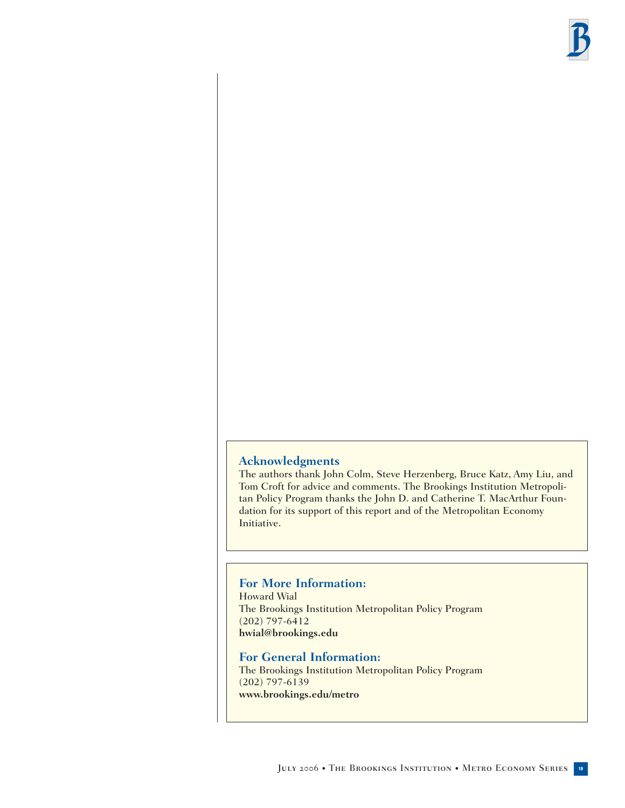

#### **Acknowledgments**

The authors thank John Colm, Steve Herzenberg, Bruce Katz, Amy Liu, and Tom Croft for advice and comments. The Brookings Institution Metropolitan Policy Program thanks the John D. and Catherine T. MacArthur Foundation for its support of this report and of the Metropolitan Economy Initiative.

#### **For More Information:**

Howard Wial The Brookings Institution Metropolitan Policy Program (202) 797-6412 **hwial@brookings.edu**

**For General Information:** The Brookings Institution Metropolitan Policy Program (202) 797-6139 **www.brookings.edu/metro**